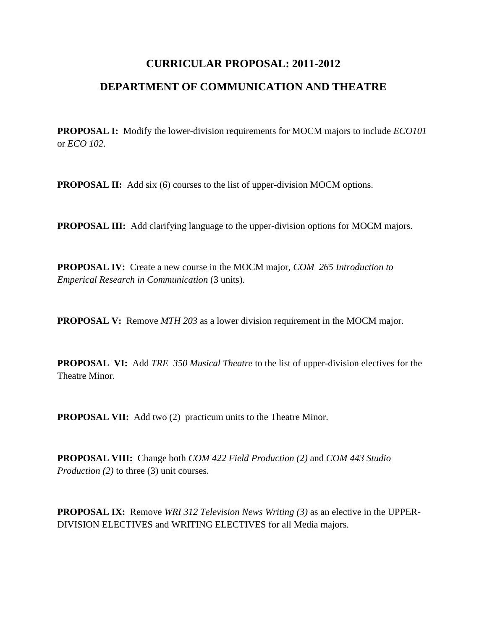## **CURRICULAR PROPOSAL: 2011-2012 DEPARTMENT OF COMMUNICATION AND THEATRE**

**PROPOSAL I:** Modify the lower-division requirements for MOCM majors to include *ECO101* or *ECO 102*.

**PROPOSAL II:** Add six (6) courses to the list of upper-division MOCM options.

**PROPOSAL III:** Add clarifying language to the upper-division options for MOCM majors.

**PROPOSAL IV:** Create a new course in the MOCM major, *COM 265 Introduction to Emperical Research in Communication* (3 units).

**PROPOSAL V:** Remove *MTH 203* as a lower division requirement in the MOCM major.

**PROPOSAL VI:** Add *TRE 350 Musical Theatre* to the list of upper-division electives for the Theatre Minor.

**PROPOSAL VII:** Add two (2) practicum units to the Theatre Minor.

**PROPOSAL VIII:** Change both *COM 422 Field Production (2)* and *COM 443 Studio Production (2)* to three (3) unit courses.

**PROPOSAL IX:** Remove *WRI 312 Television News Writing (3)* as an elective in the UPPER-DIVISION ELECTIVES and WRITING ELECTIVES for all Media majors.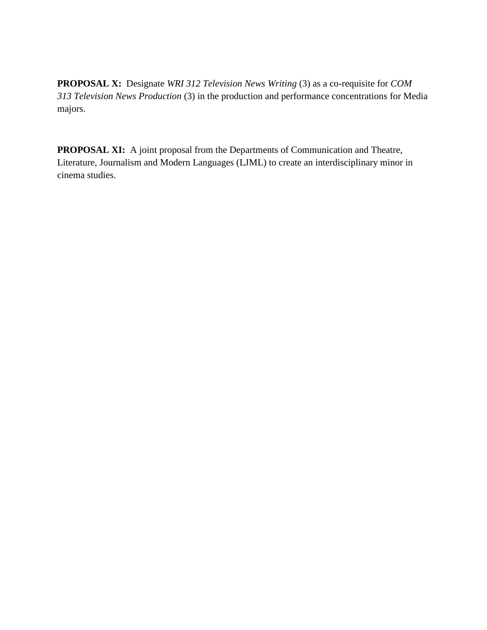**PROPOSAL X:** Designate *WRI 312 Television News Writing* (3) as a co-requisite for *COM 313 Television News Production* (3) in the production and performance concentrations for Media majors.

**PROPOSAL XI:** A joint proposal from the Departments of Communication and Theatre, Literature, Journalism and Modern Languages (LJML) to create an interdisciplinary minor in cinema studies.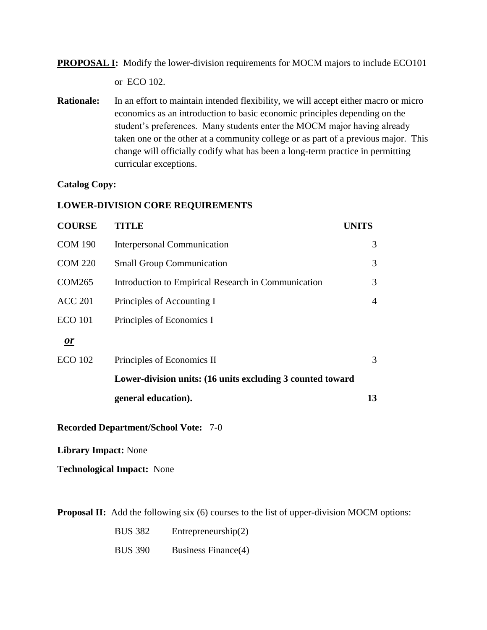**PROPOSAL I:** Modify the lower-division requirements for MOCM majors to include ECO101 or ECO 102.

**Rationale:** In an effort to maintain intended flexibility, we will accept either macro or micro economics as an introduction to basic economic principles depending on the student's preferences. Many students enter the MOCM major having already taken one or the other at a community college or as part of a previous major. This change will officially codify what has been a long-term practice in permitting curricular exceptions.

#### **Catalog Copy:**

#### **LOWER-DIVISION CORE REQUIREMENTS**

| <b>COURSE</b>                               | <b>TITLE</b>                                               | <b>UNITS</b>   |
|---------------------------------------------|------------------------------------------------------------|----------------|
| <b>COM 190</b>                              | Interpersonal Communication                                | 3              |
| <b>COM 220</b>                              | <b>Small Group Communication</b>                           | 3              |
| <b>COM265</b>                               | Introduction to Empirical Research in Communication        | 3              |
| <b>ACC 201</b>                              | Principles of Accounting I                                 | $\overline{4}$ |
| <b>ECO</b> 101                              | Principles of Economics I                                  |                |
| <b>or</b>                                   |                                                            |                |
| <b>ECO</b> 102                              | Principles of Economics II                                 | 3              |
|                                             | Lower-division units: (16 units excluding 3 counted toward |                |
|                                             | general education).                                        | 13             |
| <b>Recorded Department/School Vote: 7-0</b> |                                                            |                |

**Library Impact:** None

**Technological Impact:** None

**Proposal II:** Add the following six (6) courses to the list of upper-division MOCM options:

| <b>BUS 382</b> | Entrepreneurship $(2)$ |
|----------------|------------------------|
| <b>BUS 390</b> | Business Finance(4)    |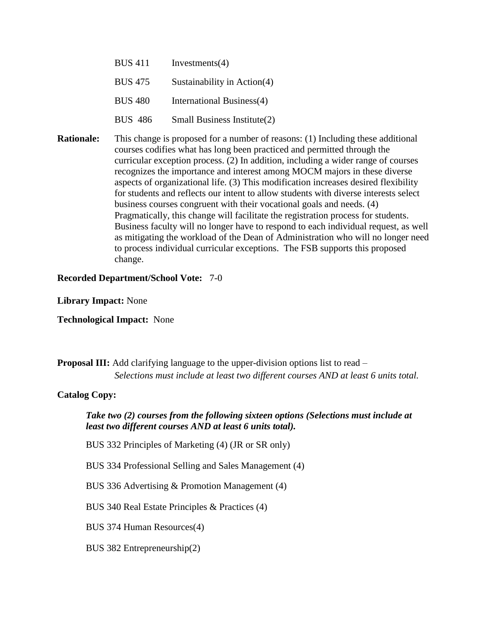| <b>BUS 411</b> | Investments $(4)$             |
|----------------|-------------------------------|
| <b>BUS 475</b> | Sustainability in $Action(4)$ |
| <b>BUS 480</b> | International Business(4)     |
| <b>BUS 486</b> | Small Business Institute(2)   |

**Rationale:** This change is proposed for a number of reasons: (1) Including these additional courses codifies what has long been practiced and permitted through the curricular exception process. (2) In addition, including a wider range of courses recognizes the importance and interest among MOCM majors in these diverse aspects of organizational life. (3) This modification increases desired flexibility for students and reflects our intent to allow students with diverse interests select business courses congruent with their vocational goals and needs. (4) Pragmatically, this change will facilitate the registration process for students. Business faculty will no longer have to respond to each individual request, as well as mitigating the workload of the Dean of Administration who will no longer need to process individual curricular exceptions. The FSB supports this proposed change.

**Recorded Department/School Vote:** 7-0

**Library Impact:** None

**Technological Impact:** None

**Proposal III:** Add clarifying language to the upper-division options list to read – *Selections must include at least two different courses AND at least 6 units total.*

#### **Catalog Copy:**

#### *Take two (2) courses from the following sixteen options (Selections must include at least two different courses AND at least 6 units total).*

BUS 332 Principles of Marketing (4) (JR or SR only)

BUS 334 Professional Selling and Sales Management (4)

BUS 336 Advertising & Promotion Management (4)

BUS 340 Real Estate Principles & Practices (4)

BUS 374 Human Resources(4)

BUS 382 Entrepreneurship(2)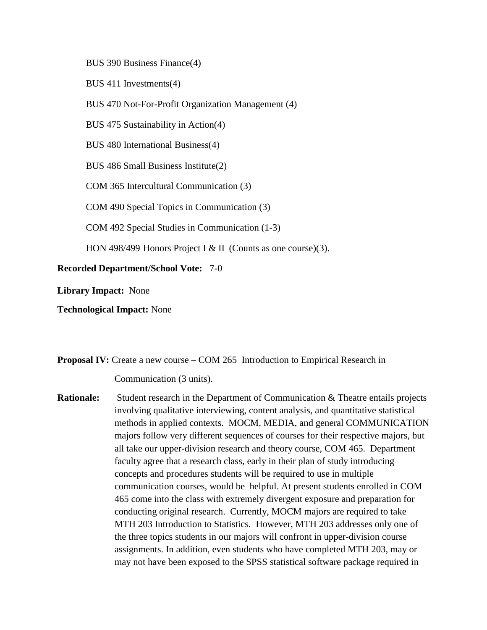BUS 390 Business Finance(4)

BUS 411 Investments(4)

BUS 470 Not-For-Profit Organization Management (4)

BUS 475 Sustainability in Action(4)

BUS 480 International Business(4)

BUS 486 Small Business Institute(2)

COM 365 Intercultural Communication (3)

COM 490 Special Topics in Communication (3)

COM 492 Special Studies in Communication (1-3)

HON 498/499 Honors Project I & II (Counts as one course)(3).

**Recorded Department/School Vote:** 7-0

**Library Impact:** None

**Technological Impact:** None

**Proposal IV:** Create a new course – COM 265 Introduction to Empirical Research in

Communication (3 units).

**Rationale:** Student research in the Department of Communication & Theatre entails projects involving qualitative interviewing, content analysis, and quantitative statistical methods in applied contexts. MOCM, MEDIA, and general COMMUNICATION majors follow very different sequences of courses for their respective majors, but all take our upper-division research and theory course, COM 465. Department faculty agree that a research class, early in their plan of study introducing concepts and procedures students will be required to use in multiple communication courses, would be helpful. At present students enrolled in COM 465 come into the class with extremely divergent exposure and preparation for conducting original research. Currently, MOCM majors are required to take MTH 203 Introduction to Statistics. However, MTH 203 addresses only one of the three topics students in our majors will confront in upper-division course assignments. In addition, even students who have completed MTH 203, may or may not have been exposed to the SPSS statistical software package required in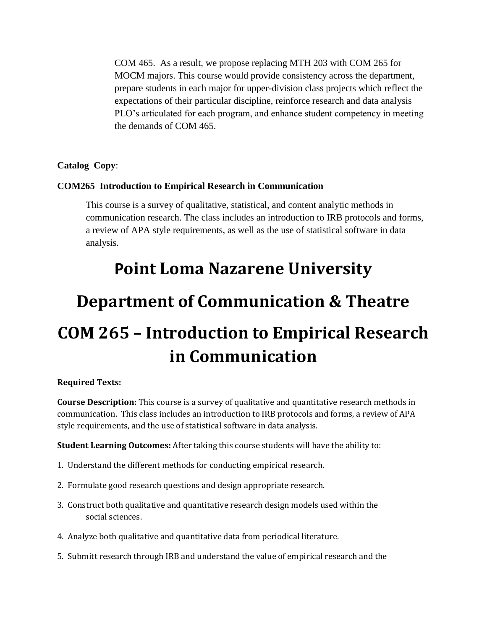COM 465. As a result, we propose replacing MTH 203 with COM 265 for MOCM majors. This course would provide consistency across the department, prepare students in each major for upper-division class projects which reflect the expectations of their particular discipline, reinforce research and data analysis PLO's articulated for each program, and enhance student competency in meeting the demands of COM 465.

#### **Catalog Copy**:

#### **COM265 Introduction to Empirical Research in Communication**

This course is a survey of qualitative, statistical, and content analytic methods in communication research. The class includes an introduction to IRB protocols and forms, a review of APA style requirements, as well as the use of statistical software in data analysis.

# **Point Loma Nazarene University**

# **Department of Communication & Theatre COM 265 – Introduction to Empirical Research in Communication**

#### **Required Texts:**

**Course Description:** This course is a survey of qualitative and quantitative research methods in communication. This class includes an introduction to IRB protocols and forms, a review of APA style requirements, and the use of statistical software in data analysis.

**Student Learning Outcomes:** After taking this course students will have the ability to:

- 1. Understand the different methods for conducting empirical research.
- 2. Formulate good research questions and design appropriate research.
- 3. Construct both qualitative and quantitative research design models used within the social sciences.
- 4. Analyze both qualitative and quantitative data from periodical literature.
- 5. Submitt research through IRB and understand the value of empirical research and the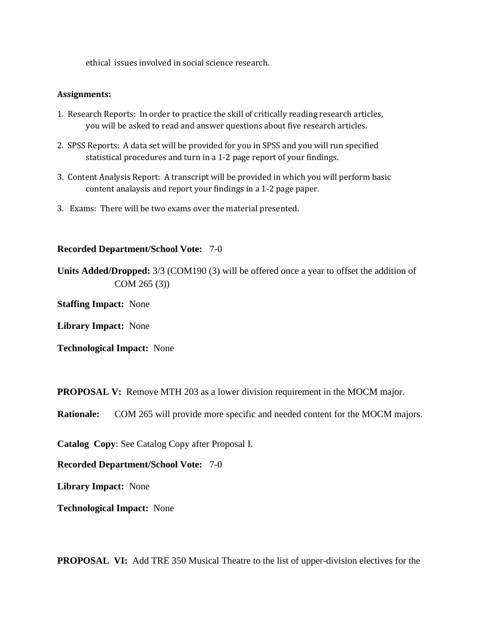ethical issues involved in social science research.

#### **Assignments:**

- 1. Research Reports: In order to practice the skill of critically reading research articles, you will be asked to read and answer questions about five research articles.
- 2. SPSS Reports: A data set will be provided for you in SPSS and you will run specified statistical procedures and turn in a 1-2 page report of your findings.
- 3. Content Analysis Report: A transcript will be provided in which you will perform basic content analaysis and report your findings in a 1-2 page paper.
- 3. Exams: There will be two exams over the material presented.

#### **Recorded Department/School Vote:** 7-0

**Units Added/Dropped:** 3/3 (COM190 (3) will be offered once a year to offset the addition of COM 265 (3))

**Staffing Impact:** None

**Library Impact:** None

**Technological Impact:** None

**PROPOSAL V:** Remove MTH 203 as a lower division requirement in the MOCM major.

**Rationale:** COM 265 will provide more specific and needed content for the MOCM majors.

**Catalog Copy**: See Catalog Copy after Proposal I.

**Recorded Department/School Vote:** 7-0

**Library Impact:** None

**Technological Impact:** None

**PROPOSAL VI:** Add TRE 350 Musical Theatre to the list of upper-division electives for the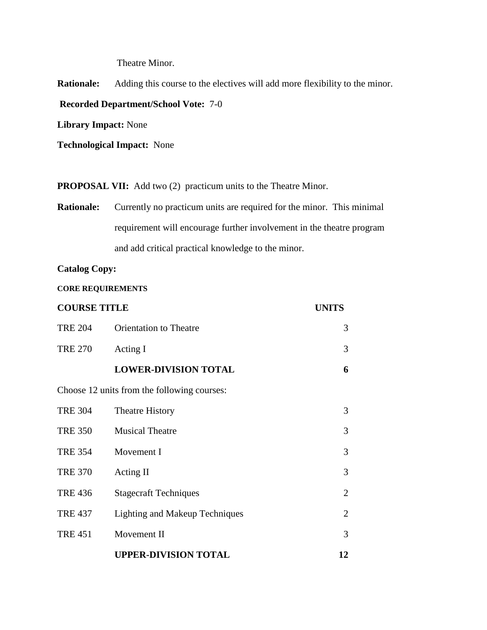Theatre Minor.

**Rationale:** Adding this course to the electives will add more flexibility to the minor. **Recorded Department/School Vote:** 7-0 **Library Impact:** None

**Technological Impact:** None

**PROPOSAL VII:** Add two (2) practicum units to the Theatre Minor.

**Rationale:** Currently no practicum units are required for the minor. This minimal requirement will encourage further involvement in the theatre program and add critical practical knowledge to the minor.

**Catalog Copy:**

**CORE REQUIREMENTS**

| <b>COURSE TITLE</b> |                                             | <b>UNITS</b>   |
|---------------------|---------------------------------------------|----------------|
| <b>TRE 204</b>      | <b>Orientation to Theatre</b>               | 3              |
| <b>TRE 270</b>      | Acting I                                    | 3              |
|                     | <b>LOWER-DIVISION TOTAL</b>                 | 6              |
|                     | Choose 12 units from the following courses: |                |
| <b>TRE 304</b>      | <b>Theatre History</b>                      | 3              |
| <b>TRE 350</b>      | <b>Musical Theatre</b>                      | 3              |
| <b>TRE 354</b>      | Movement I                                  | 3              |
| <b>TRE 370</b>      | Acting II                                   | 3              |
| <b>TRE 436</b>      | <b>Stagecraft Techniques</b>                | $\overline{2}$ |
| <b>TRE 437</b>      | <b>Lighting and Makeup Techniques</b>       | $\overline{2}$ |
| <b>TRE 451</b>      | Movement II                                 | 3              |
|                     | <b>UPPER-DIVISION TOTAL</b>                 | 12             |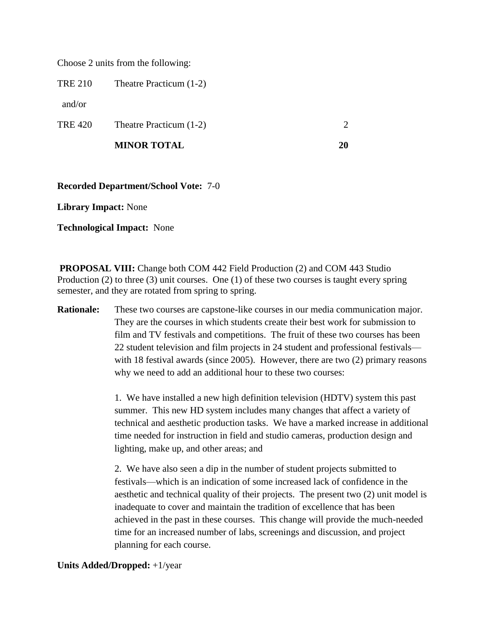Choose 2 units from the following:

TRE 210 Theatre Practicum (1-2)

and/or

| <b>TRE 420</b><br>Theatre Practicum (1-2) |  |
|-------------------------------------------|--|
|-------------------------------------------|--|

| <b>MINOR TOTAL</b> |  |
|--------------------|--|
|                    |  |

#### **Recorded Department/School Vote:** 7-0

**Library Impact:** None

**Technological Impact:** None

**PROPOSAL VIII:** Change both COM 442 Field Production (2) and COM 443 Studio Production (2) to three (3) unit courses. One (1) of these two courses is taught every spring semester, and they are rotated from spring to spring.

**Rationale:** These two courses are capstone-like courses in our media communication major. They are the courses in which students create their best work for submission to film and TV festivals and competitions. The fruit of these two courses has been 22 student television and film projects in 24 student and professional festivals with 18 festival awards (since 2005). However, there are two (2) primary reasons why we need to add an additional hour to these two courses:

> 1. We have installed a new high definition television (HDTV) system this past summer. This new HD system includes many changes that affect a variety of technical and aesthetic production tasks. We have a marked increase in additional time needed for instruction in field and studio cameras, production design and lighting, make up, and other areas; and

> 2. We have also seen a dip in the number of student projects submitted to festivals—which is an indication of some increased lack of confidence in the aesthetic and technical quality of their projects. The present two (2) unit model is inadequate to cover and maintain the tradition of excellence that has been achieved in the past in these courses. This change will provide the much-needed time for an increased number of labs, screenings and discussion, and project planning for each course.

#### **Units Added/Dropped:** +1/year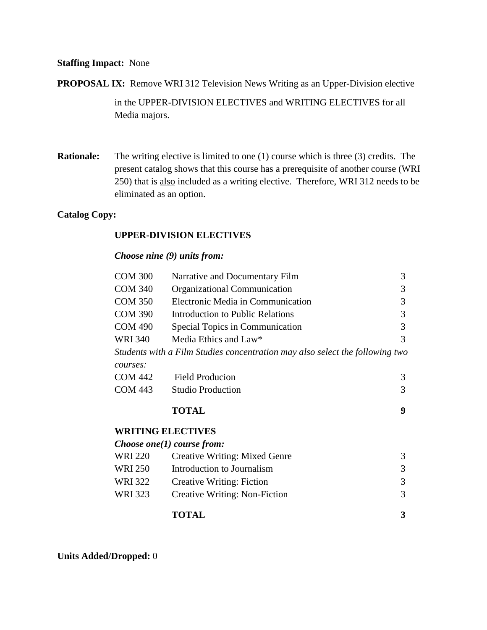#### **Staffing Impact:** None

**PROPOSAL IX:** Remove WRI 312 Television News Writing as an Upper-Division elective in the UPPER-DIVISION ELECTIVES and WRITING ELECTIVES for all Media majors.

**Rationale:** The writing elective is limited to one (1) course which is three (3) credits. The present catalog shows that this course has a prerequisite of another course (WRI 250) that is also included as a writing elective. Therefore, WRI 312 needs to be eliminated as an option.

#### **Catalog Copy:**

#### **UPPER-DIVISION ELECTIVES**

#### *Choose nine (9) units from:*

| <b>COM 300</b> | Narrative and Documentary Film                                               | 3 |
|----------------|------------------------------------------------------------------------------|---|
| <b>COM 340</b> | Organizational Communication                                                 | 3 |
| <b>COM 350</b> | Electronic Media in Communication                                            | 3 |
| <b>COM 390</b> | Introduction to Public Relations                                             | 3 |
| <b>COM 490</b> | Special Topics in Communication                                              | 3 |
| <b>WRI 340</b> | Media Ethics and Law*                                                        | 3 |
|                | Students with a Film Studies concentration may also select the following two |   |
| courses:       |                                                                              |   |
| <b>COM 442</b> | <b>Field Producion</b>                                                       | 3 |
| <b>COM 443</b> | <b>Studio Production</b>                                                     | 3 |
|                | <b>TOTAL</b>                                                                 | 9 |
|                | <b>WRITING ELECTIVES</b>                                                     |   |
|                | Choose one(1) course from:                                                   |   |
| <b>WRI 220</b> | <b>Creative Writing: Mixed Genre</b>                                         | 3 |
| <b>WRI 250</b> | Introduction to Journalism                                                   | 3 |
| <b>WRI 322</b> | Creative Writing: Fiction                                                    | 3 |
| <b>WRI 323</b> | Creative Writing: Non-Fiction                                                | 3 |
|                | <b>TOTAL</b>                                                                 | 3 |

**Units Added/Dropped:** 0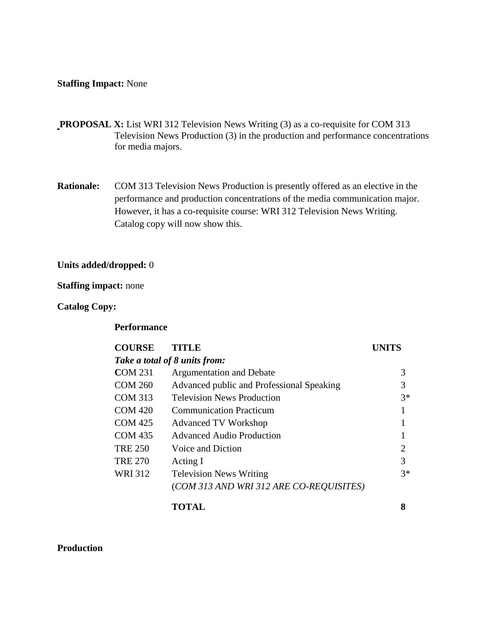#### **Staffing Impact:** None

- **PROPOSAL X:** List WRI 312 Television News Writing (3) as a co-requisite for COM 313 Television News Production (3) in the production and performance concentrations for media majors.
- **Rationale:** COM 313 Television News Production is presently offered as an elective in the performance and production concentrations of the media communication major. However, it has a co-requisite course: WRI 312 Television News Writing. Catalog copy will now show this.

#### **Units added/dropped:** 0

#### **Staffing impact:** none

#### **Catalog Copy:**

#### **Performance**

## **COURSE TITLE UNITS**  *Take a total of 8 units from:* **C**OM 231 Argumentation and Debate 3 COM 260 Advanced public and Professional Speaking 3 COM 313 Television News Production 3<sup>\*</sup> COM 420 Communication Practicum 1 COM 425 Advanced TV Workshop 1 COM 435 Advanced Audio Production 1 TRE 250 Voice and Diction 2 TRE  $270$  Acting I 3 WRI 312 Television News Writing  $3^*$ (*COM 313 AND WRI 312 ARE CO-REQUISITES)*

#### **TOTAL 8**

**Production**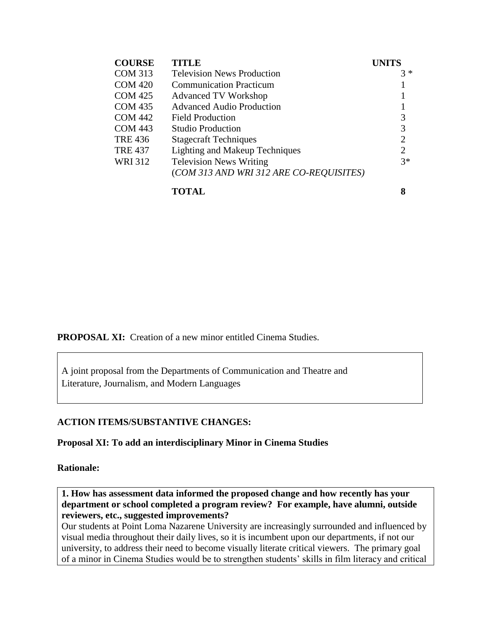| <b>COURSE</b>  | <b>TITLE</b>                            | <b>UNITS</b>   |
|----------------|-----------------------------------------|----------------|
| <b>COM 313</b> | <b>Television News Production</b>       | $3 *$          |
| <b>COM 420</b> | <b>Communication Practicum</b>          |                |
| <b>COM 425</b> | <b>Advanced TV Workshop</b>             |                |
| <b>COM 435</b> | <b>Advanced Audio Production</b>        |                |
| <b>COM 442</b> | Field Production                        | 3              |
| <b>COM 443</b> | <b>Studio Production</b>                | 3              |
| <b>TRE 436</b> | <b>Stagecraft Techniques</b>            | $\overline{2}$ |
| <b>TRE 437</b> | <b>Lighting and Makeup Techniques</b>   | $\overline{2}$ |
| <b>WRI312</b>  | <b>Television News Writing</b>          | $3*$           |
|                | (COM 313 AND WRI 312 ARE CO-REQUISITES) |                |

**TOTAL 8**

**PROPOSAL XI:** Creation of a new minor entitled Cinema Studies.

A joint proposal from the Departments of Communication and Theatre and Literature, Journalism, and Modern Languages

#### **ACTION ITEMS/SUBSTANTIVE CHANGES:**

**Proposal XI: To add an interdisciplinary Minor in Cinema Studies**

**Rationale:** 

**1. How has assessment data informed the proposed change and how recently has your department or school completed a program review? For example, have alumni, outside reviewers, etc., suggested improvements?** 

Our students at Point Loma Nazarene University are increasingly surrounded and influenced by visual media throughout their daily lives, so it is incumbent upon our departments, if not our university, to address their need to become visually literate critical viewers. The primary goal of a minor in Cinema Studies would be to strengthen students' skills in film literacy and critical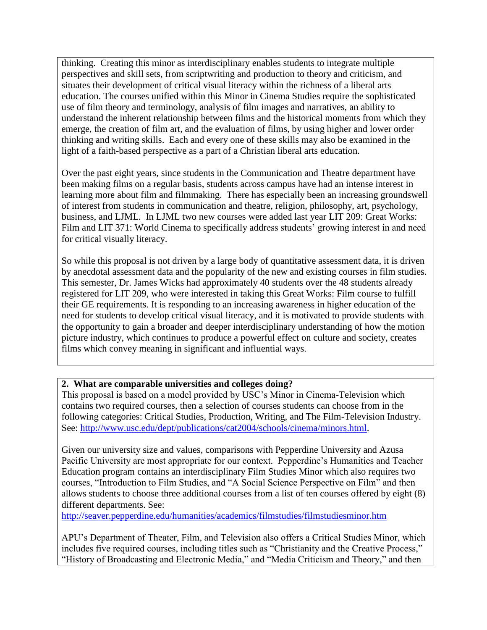thinking. Creating this minor as interdisciplinary enables students to integrate multiple perspectives and skill sets, from scriptwriting and production to theory and criticism, and situates their development of critical visual literacy within the richness of a liberal arts education. The courses unified within this Minor in Cinema Studies require the sophisticated use of film theory and terminology, analysis of film images and narratives, an ability to understand the inherent relationship between films and the historical moments from which they emerge, the creation of film art, and the evaluation of films, by using higher and lower order thinking and writing skills. Each and every one of these skills may also be examined in the light of a faith-based perspective as a part of a Christian liberal arts education.

Over the past eight years, since students in the Communication and Theatre department have been making films on a regular basis, students across campus have had an intense interest in learning more about film and filmmaking. There has especially been an increasing groundswell of interest from students in communication and theatre, religion, philosophy, art, psychology, business, and LJML. In LJML two new courses were added last year LIT 209: Great Works: Film and LIT 371: World Cinema to specifically address students' growing interest in and need for critical visually literacy.

So while this proposal is not driven by a large body of quantitative assessment data, it is driven by anecdotal assessment data and the popularity of the new and existing courses in film studies. This semester, Dr. James Wicks had approximately 40 students over the 48 students already registered for LIT 209, who were interested in taking this Great Works: Film course to fulfill their GE requirements. It is responding to an increasing awareness in higher education of the need for students to develop critical visual literacy, and it is motivated to provide students with the opportunity to gain a broader and deeper interdisciplinary understanding of how the motion picture industry, which continues to produce a powerful effect on culture and society, creates films which convey meaning in significant and influential ways.

#### **2. What are comparable universities and colleges doing?**

This proposal is based on a model provided by USC's Minor in Cinema-Television which contains two required courses, then a selection of courses students can choose from in the following categories: Critical Studies, Production, Writing, and The Film-Television Industry. See: [http://www.usc.edu/dept/publications/cat2004/schools/cinema/minors.html.](http://www.usc.edu/dept/publications/cat2004/schools/cinema/minors.html)

Given our university size and values, comparisons with Pepperdine University and Azusa Pacific University are most appropriate for our context. Pepperdine's Humanities and Teacher Education program contains an interdisciplinary Film Studies Minor which also requires two courses, "Introduction to Film Studies, and "A Social Science Perspective on Film" and then allows students to choose three additional courses from a list of ten courses offered by eight (8) different departments. See:

<http://seaver.pepperdine.edu/humanities/academics/filmstudies/filmstudiesminor.htm>

APU's Department of Theater, Film, and Television also offers a Critical Studies Minor, which includes five required courses, including titles such as "Christianity and the Creative Process," "History of Broadcasting and Electronic Media," and "Media Criticism and Theory," and then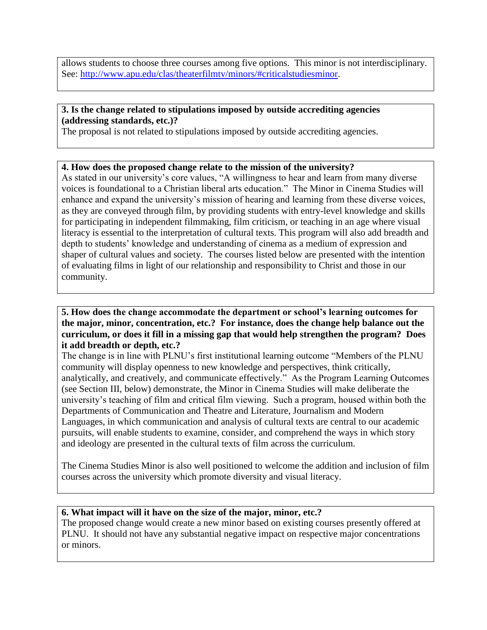allows students to choose three courses among five options. This minor is not interdisciplinary. See: [http://www.apu.edu/clas/theaterfilmtv/minors/#criticalstudiesminor.](http://www.apu.edu/clas/theaterfilmtv/minors/#criticalstudiesminor)

## **3. Is the change related to stipulations imposed by outside accrediting agencies (addressing standards, etc.)?**

The proposal is not related to stipulations imposed by outside accrediting agencies.

#### **4. How does the proposed change relate to the mission of the university?**

As stated in our university's core values, "A willingness to hear and learn from many diverse voices is foundational to a Christian liberal arts education." The Minor in Cinema Studies will enhance and expand the university's mission of hearing and learning from these diverse voices, as they are conveyed through film, by providing students with entry-level knowledge and skills for participating in independent filmmaking, film criticism, or teaching in an age where visual literacy is essential to the interpretation of cultural texts. This program will also add breadth and depth to students' knowledge and understanding of cinema as a medium of expression and shaper of cultural values and society. The courses listed below are presented with the intention of evaluating films in light of our relationship and responsibility to Christ and those in our community.

#### **5. How does the change accommodate the department or school's learning outcomes for the major, minor, concentration, etc.? For instance, does the change help balance out the curriculum, or does it fill in a missing gap that would help strengthen the program? Does it add breadth or depth, etc.?**

The change is in line with PLNU's first institutional learning outcome "Members of the PLNU community will display openness to new knowledge and perspectives, think critically, analytically, and creatively, and communicate effectively." As the Program Learning Outcomes (see Section III, below) demonstrate, the Minor in Cinema Studies will make deliberate the university's teaching of film and critical film viewing. Such a program, housed within both the Departments of Communication and Theatre and Literature, Journalism and Modern Languages, in which communication and analysis of cultural texts are central to our academic pursuits, will enable students to examine, consider, and comprehend the ways in which story and ideology are presented in the cultural texts of film across the curriculum.

The Cinema Studies Minor is also well positioned to welcome the addition and inclusion of film courses across the university which promote diversity and visual literacy.

#### **6. What impact will it have on the size of the major, minor, etc.?**

The proposed change would create a new minor based on existing courses presently offered at PLNU. It should not have any substantial negative impact on respective major concentrations or minors.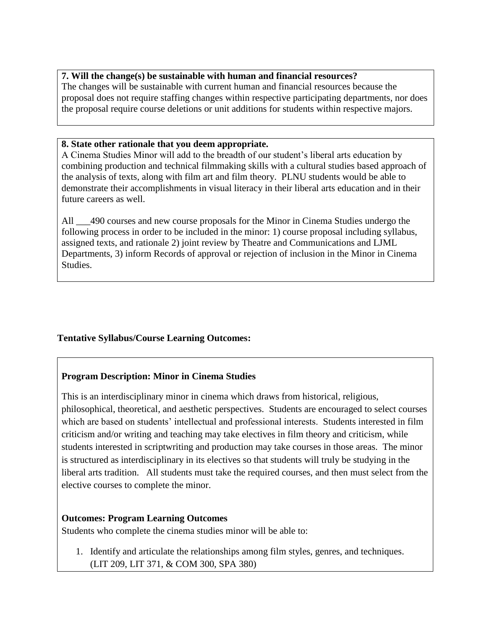#### **7. Will the change(s) be sustainable with human and financial resources?**

The changes will be sustainable with current human and financial resources because the proposal does not require staffing changes within respective participating departments, nor does the proposal require course deletions or unit additions for students within respective majors.

#### **8. State other rationale that you deem appropriate.**

A Cinema Studies Minor will add to the breadth of our student's liberal arts education by combining production and technical filmmaking skills with a cultural studies based approach of the analysis of texts, along with film art and film theory. PLNU students would be able to demonstrate their accomplishments in visual literacy in their liberal arts education and in their future careers as well.

All \_\_\_490 courses and new course proposals for the Minor in Cinema Studies undergo the following process in order to be included in the minor: 1) course proposal including syllabus, assigned texts, and rationale 2) joint review by Theatre and Communications and LJML Departments, 3) inform Records of approval or rejection of inclusion in the Minor in Cinema Studies.

#### **Tentative Syllabus/Course Learning Outcomes:**

#### **Program Description: Minor in Cinema Studies**

This is an interdisciplinary minor in cinema which draws from historical, religious, philosophical, theoretical, and aesthetic perspectives. Students are encouraged to select courses which are based on students' intellectual and professional interests. Students interested in film criticism and/or writing and teaching may take electives in film theory and criticism, while students interested in scriptwriting and production may take courses in those areas. The minor is structured as interdisciplinary in its electives so that students will truly be studying in the liberal arts tradition. All students must take the required courses, and then must select from the elective courses to complete the minor.

#### **Outcomes: Program Learning Outcomes**

Students who complete the cinema studies minor will be able to:

1. Identify and articulate the relationships among film styles, genres, and techniques. (LIT 209, LIT 371, & COM 300, SPA 380)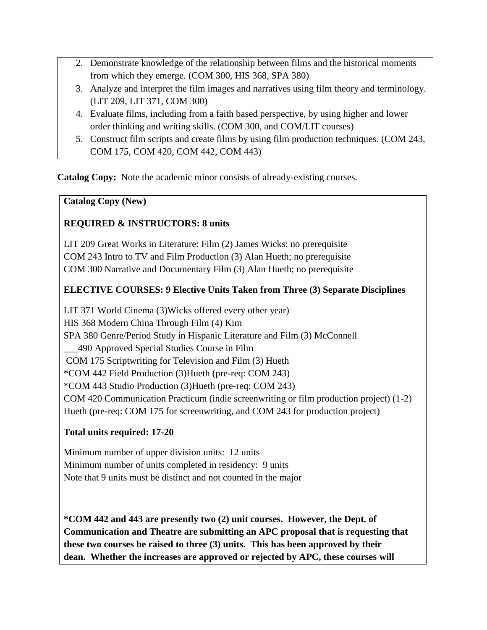- 2. Demonstrate knowledge of the relationship between films and the historical moments from which they emerge. (COM 300, HIS 368, SPA 380)
- 3. Analyze and interpret the film images and narratives using film theory and terminology. (LIT 209, LIT 371, COM 300)
- 4. Evaluate films, including from a faith based perspective, by using higher and lower order thinking and writing skills. (COM 300, and COM/LIT courses)
- 5. Construct film scripts and create films by using film production techniques. (COM 243, COM 175, COM 420, COM 442, COM 443)

**Catalog Copy:** Note the academic minor consists of already-existing courses.

## **Catalog Copy (New)**

## **REQUIRED & INSTRUCTORS: 8 units**

LIT 209 Great Works in Literature: Film (2) James Wicks; no prerequisite COM 243 Intro to TV and Film Production (3) Alan Hueth; no prerequisite COM 300 Narrative and Documentary Film (3) Alan Hueth; no prerequisite

## **ELECTIVE COURSES: 9 Elective Units Taken from Three (3) Separate Disciplines**

LIT 371 World Cinema (3)Wicks offered every other year) HIS 368 Modern China Through Film (4) Kim SPA 380 Genre/Period Study in Hispanic Literature and Film (3) McConnell \_\_\_490 Approved Special Studies Course in Film COM 175 Scriptwriting for Television and Film (3) Hueth \*COM 442 Field Production (3)Hueth (pre-req: COM 243) \*COM 443 Studio Production (3)Hueth (pre-req: COM 243) COM 420 Communication Practicum (indie screenwriting or film production project) (1-2) Hueth (pre-req: COM 175 for screenwriting, and COM 243 for production project)

## **Total units required: 17-20**

Minimum number of upper division units: 12 units Minimum number of units completed in residency: 9 units Note that 9 units must be distinct and not counted in the major

**\*COM 442 and 443 are presently two (2) unit courses. However, the Dept. of Communication and Theatre are submitting an APC proposal that is requesting that these two courses be raised to three (3) units. This has been approved by their dean. Whether the increases are approved or rejected by APC, these courses will**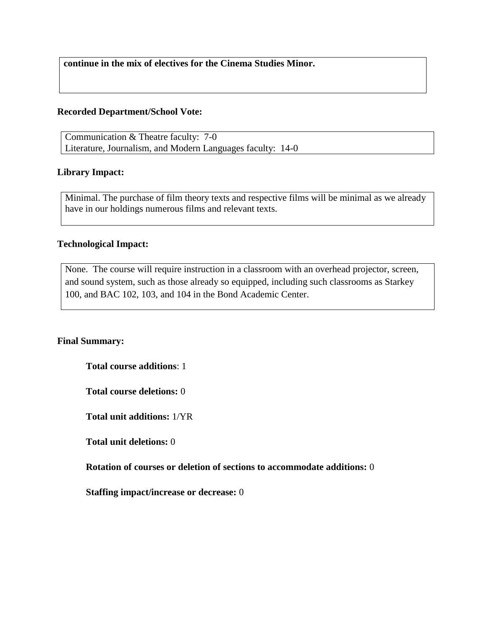**continue in the mix of electives for the Cinema Studies Minor.**

#### **Recorded Department/School Vote:**

Communication & Theatre faculty: 7-0 Literature, Journalism, and Modern Languages faculty: 14-0

#### **Library Impact:**

Minimal. The purchase of film theory texts and respective films will be minimal as we already have in our holdings numerous films and relevant texts.

#### **Technological Impact:**

None. The course will require instruction in a classroom with an overhead projector, screen, and sound system, such as those already so equipped, including such classrooms as Starkey 100, and BAC 102, 103, and 104 in the Bond Academic Center.

#### **Final Summary:**

**Total course additions**: 1

**Total course deletions:** 0

**Total unit additions:** 1/YR

**Total unit deletions:** 0

**Rotation of courses or deletion of sections to accommodate additions:** 0

**Staffing impact/increase or decrease:** 0